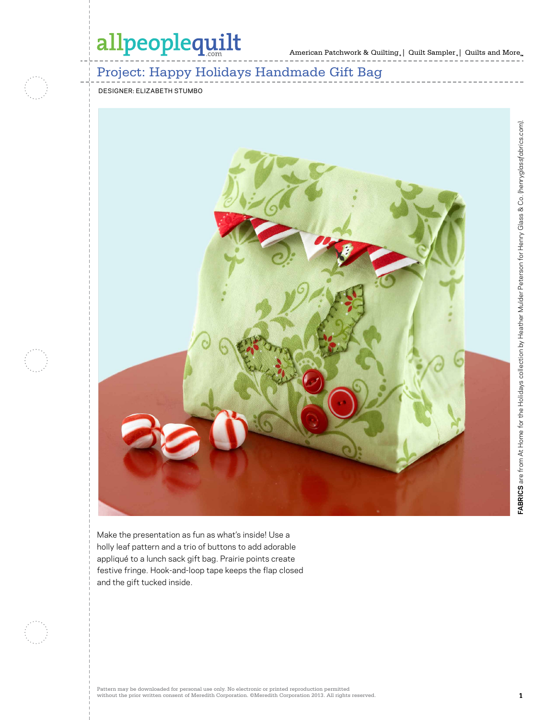American Patchwork & Quilting | Quilt Sampler | Quilts and More

## Project: Happy Holidays Handmade Gift Bag

designer: Elizabeth Stumbo



Make the presentation as fun as what's inside! Use a holly leaf pattern and a trio of buttons to add adorable appliqué to a lunch sack gift bag. Prairie points create festive fringe. Hook-and-loop tape keeps the flap closed and the gift tucked inside.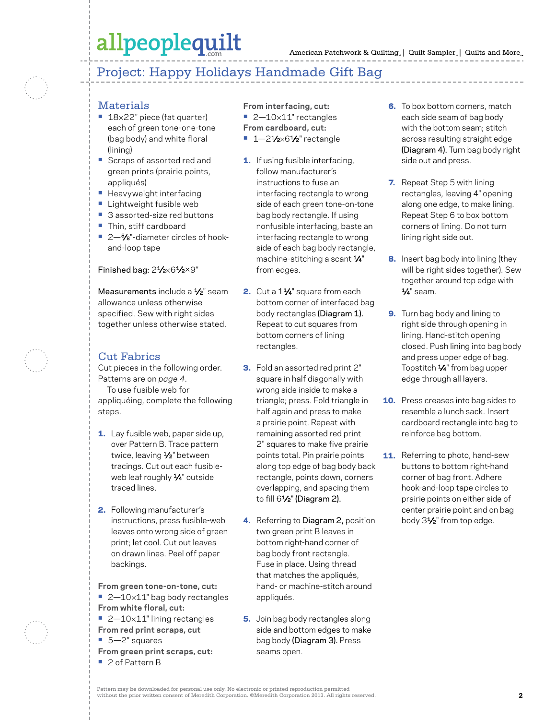## Project: Happy Holidays Handmade Gift Bag

## **Materials**

- **•** 18×22" piece (fat quarter) each of green tone-one-tone (bag body) and white floral (lining)
- **•** Scraps of assorted red and green prints (prairie points, appliqués)
- **•** Heavyweight interfacing
- **•** Lightweight fusible web
- **•** 3 assorted-size red buttons
- **•** Thin, stiff cardboard
- 2<sup>-5</sup>⁄8<sup>"-</sup>diameter circles of hookand-loop tape

#### Finished bag: 21/2×61/2×9"

Measurements include a 1/<sub>2</sub>" seam allowance unless otherwise specified. Sew with right sides together unless otherwise stated.

## Cut Fabrics

Cut pieces in the following order. Patterns are on *page 4*. To use fusible web for appliquéing, complete the following steps.

- 1. Lay fusible web, paper side up, over Pattern B. Trace pattern twice, leaving 1/2" between tracings. Cut out each fusibleweb leaf roughly 1/4" outside traced lines.
- 2. Following manufacturer's instructions, press fusible-web leaves onto wrong side of green print; let cool. Cut out leaves on drawn lines. Peel off paper backings.

**From green tone-on-tone, cut:** ■ 2-10×11" bag body rectangles **From white floral, cut: •** 2—10×11" lining rectangles **From red print scraps, cut •** 5—2" squares **From green print scraps, cut:**

**•** 2 of Pattern B

**From interfacing, cut: •** 2—10×11" rectangles **From cardboard, cut:**

- **•** 1—21⁄2×61⁄2" rectangle
- 1. If using fusible interfacing, follow manufacturer's instructions to fuse an interfacing rectangle to wrong side of each green tone-on-tone bag body rectangle. If using nonfusible interfacing, baste an interfacing rectangle to wrong side of each bag body rectangle, machine-stitching a scant  $\frac{1}{4}$ " from edges.
- 2. Cut a 11⁄4" square from each bottom corner of interfaced bag body rectangles (Diagram 1). Repeat to cut squares from bottom corners of lining rectangles.
- 3. Fold an assorted red print 2" square in half diagonally with wrong side inside to make a triangle; press. Fold triangle in half again and press to make a prairie point. Repeat with remaining assorted red print 2" squares to make five prairie points total. Pin prairie points along top edge of bag body back rectangle, points down, corners overlapping, and spacing them to fill  $6\frac{1}{2}$ " (Diagram 2).
- 4. Referring to Diagram 2, position two green print B leaves in bottom right-hand corner of bag body front rectangle. Fuse in place. Using thread that matches the appliqués, hand- or machine-stitch around appliqués.
- **5.** Join bag body rectangles along side and bottom edges to make bag body (Diagram 3). Press seams open.
- **6.** To box bottom corners, match each side seam of bag body with the bottom seam; stitch across resulting straight edge (Diagram 4). Turn bag body right side out and press.
- 7. Repeat Step 5 with lining rectangles, leaving 4" opening along one edge, to make lining. Repeat Step 6 to box bottom corners of lining. Do not turn lining right side out.
- 8. Insert bag body into lining (they will be right sides together). Sew together around top edge with 1⁄4" seam.
- 9. Turn bag body and lining to right side through opening in lining. Hand-stitch opening closed. Push lining into bag body and press upper edge of bag. Topstitch 1⁄4" from bag upper edge through all layers.
- **10.** Press creases into bag sides to resemble a lunch sack. Insert cardboard rectangle into bag to reinforce bag bottom.
- **11.** Referring to photo, hand-sew buttons to bottom right-hand corner of bag front. Adhere hook-and-loop tape circles to prairie points on either side of center prairie point and on bag body 31⁄2" from top edge.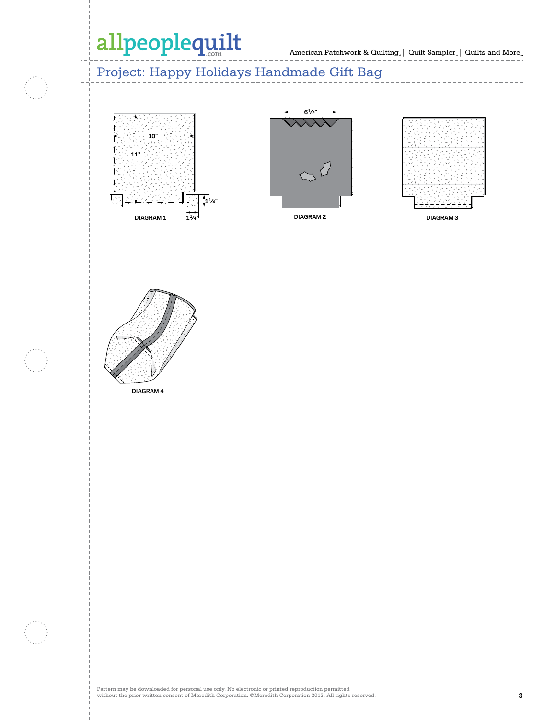#### Project: Happy Holidays Handmade Gift Bag **100234628 Altered by Emma Akerley 8-17-10**





**100680165**



**100680168**



**Altered by Emma Akerley 8-17-10**

 $- - - - - -$ 

 $-$ 

**DIAGRAM 3**



**DIAGRAM 4**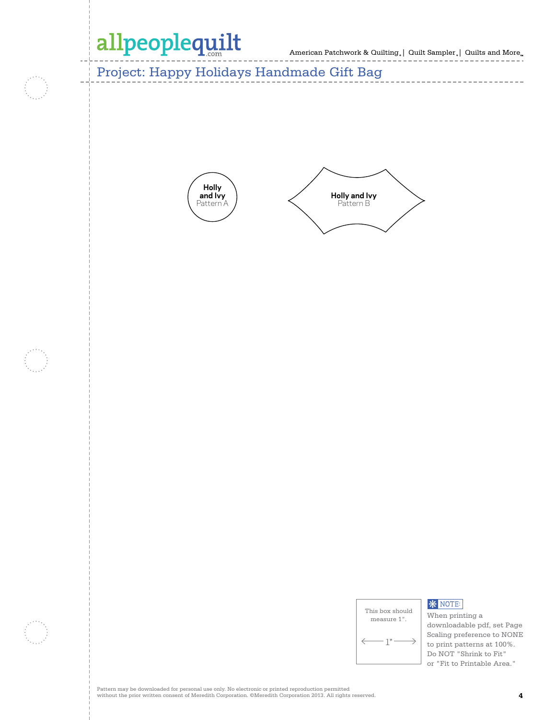American Patchwork & Quilting | Quilt Sampler | Quilts and More **C. Neubauer 7-30-10 Holly <sup>100527418</sup> and Ivy**

Project: Happy Holidays Handmade Gift Bag





| This box should<br>measure 1". |
|--------------------------------|
| $-1"$                          |
|                                |

## **\*** NOTE:

When printing a downloadable pdf, set Page Scaling preference to NONE to print patterns at 100%. Do NOT "Shrink to Fit" or "Fit to Printable Area."

Pattern may be downloaded for personal use only. No electronic or printed reproduction permitted without the prior written consent of Meredith Corporation. ©Meredith Corporation 2013. All rights reserved. **4**